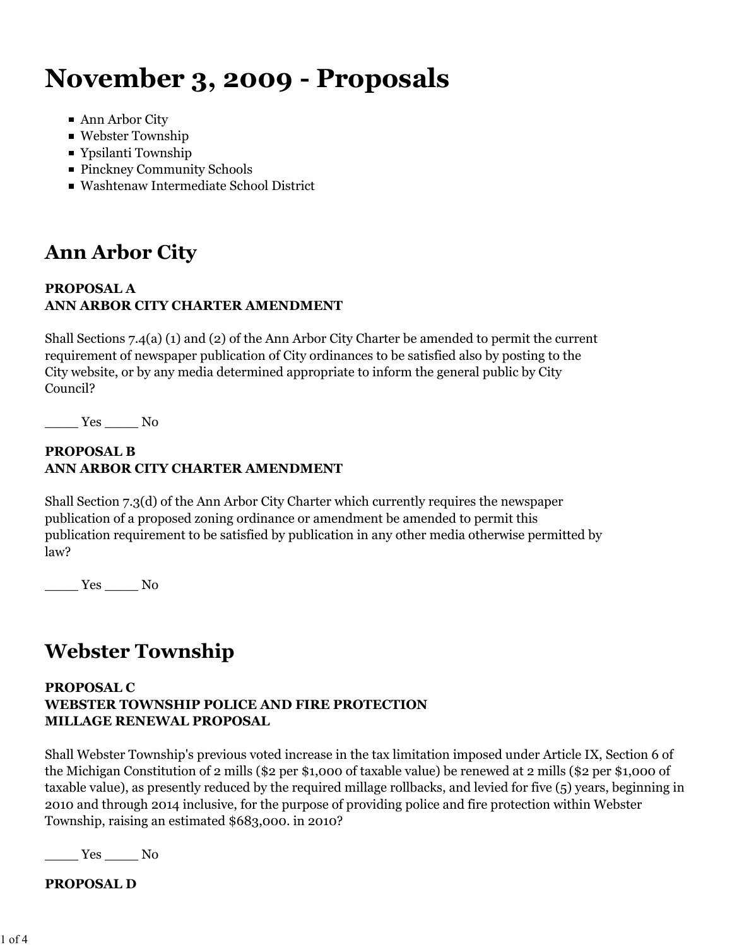# **November 3, 2009 - Proposals**

- Ann Arbor City
- Webster Township
- Ypsilanti Township
- Pinckney Community Schools
- Washtenaw Intermediate School District

## **Ann Arbor City**

### **PROPOSAL A ANN ARBOR CITY CHARTER AMENDMENT**

Shall Sections 7.4(a) (1) and (2) of the Ann Arbor City Charter be amended to permit the current requirement of newspaper publication of City ordinances to be satisfied also by posting to the City website, or by any media determined appropriate to inform the general public by City Council?

\_\_\_\_ Yes \_\_\_\_ No

### **PROPOSAL B ANN ARBOR CITY CHARTER AMENDMENT**

Shall Section 7.3(d) of the Ann Arbor City Charter which currently requires the newspaper publication of a proposed zoning ordinance or amendment be amended to permit this publication requirement to be satisfied by publication in any other media otherwise permitted by law?

\_\_\_\_ Yes \_\_\_\_ No

### **Webster Township**

#### **PROPOSAL C WEBSTER TOWNSHIP POLICE AND FIRE PROTECTION MILLAGE RENEWAL PROPOSAL**

Shall Webster Township's previous voted increase in the tax limitation imposed under Article IX, Section 6 of the Michigan Constitution of 2 mills (\$2 per \$1,000 of taxable value) be renewed at 2 mills (\$2 per \$1,000 of taxable value), as presently reduced by the required millage rollbacks, and levied for five (5) years, beginning in 2010 and through 2014 inclusive, for the purpose of providing police and fire protection within Webster Township, raising an estimated \$683,000. in 2010?

Yes No

**PROPOSAL D**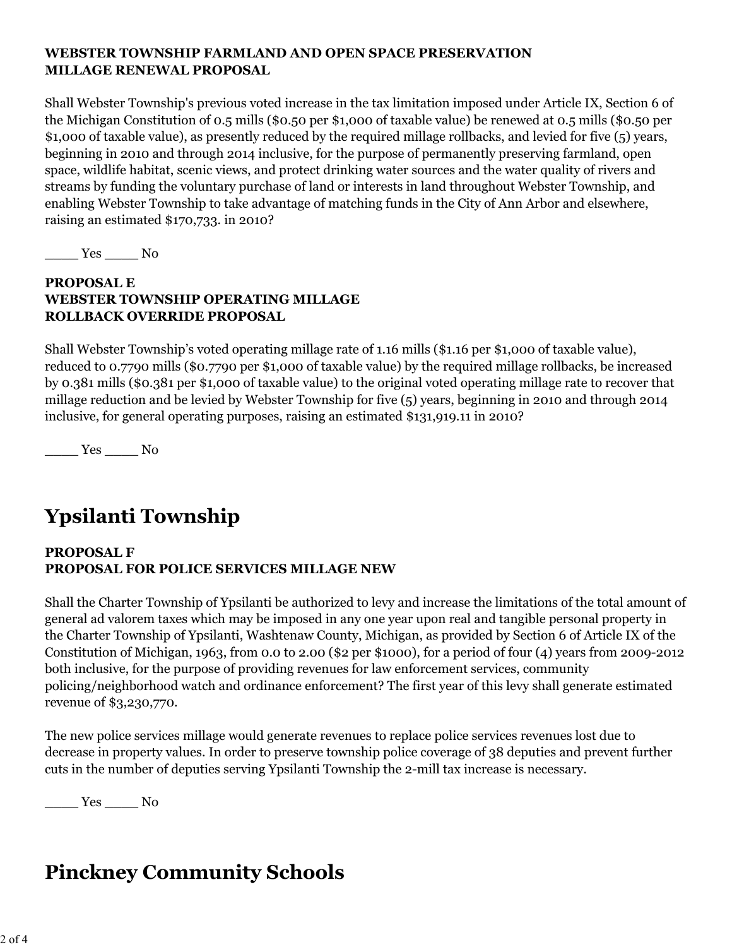### **WEBSTER TOWNSHIP FARMLAND AND OPEN SPACE PRESERVATION MILLAGE RENEWAL PROPOSAL**

Shall Webster Township's previous voted increase in the tax limitation imposed under Article IX, Section 6 of the Michigan Constitution of 0.5 mills (\$0.50 per \$1,000 of taxable value) be renewed at 0.5 mills (\$0.50 per \$1,000 of taxable value), as presently reduced by the required millage rollbacks, and levied for five (5) years, beginning in 2010 and through 2014 inclusive, for the purpose of permanently preserving farmland, open space, wildlife habitat, scenic views, and protect drinking water sources and the water quality of rivers and streams by funding the voluntary purchase of land or interests in land throughout Webster Township, and enabling Webster Township to take advantage of matching funds in the City of Ann Arbor and elsewhere, raising an estimated \$170,733. in 2010?

\_\_\_\_ Yes \_\_\_\_ No

### **PROPOSAL E WEBSTER TOWNSHIP OPERATING MILLAGE ROLLBACK OVERRIDE PROPOSAL**

Shall Webster Township's voted operating millage rate of 1.16 mills (\$1.16 per \$1,000 of taxable value), reduced to 0.7790 mills (\$0.7790 per \$1,000 of taxable value) by the required millage rollbacks, be increased by 0.381 mills (\$0.381 per \$1,000 of taxable value) to the original voted operating millage rate to recover that millage reduction and be levied by Webster Township for five (5) years, beginning in 2010 and through 2014 inclusive, for general operating purposes, raising an estimated \$131,919.11 in 2010?

\_\_\_\_ Yes \_\_\_\_ No

# **Ypsilanti Township**

### **PROPOSAL F PROPOSAL FOR POLICE SERVICES MILLAGE NEW**

Shall the Charter Township of Ypsilanti be authorized to levy and increase the limitations of the total amount of general ad valorem taxes which may be imposed in any one year upon real and tangible personal property in the Charter Township of Ypsilanti, Washtenaw County, Michigan, as provided by Section 6 of Article IX of the Constitution of Michigan, 1963, from 0.0 to 2.00 (\$2 per \$1000), for a period of four (4) years from 2009-2012 both inclusive, for the purpose of providing revenues for law enforcement services, community policing/neighborhood watch and ordinance enforcement? The first year of this levy shall generate estimated revenue of \$3,230,770.

The new police services millage would generate revenues to replace police services revenues lost due to decrease in property values. In order to preserve township police coverage of 38 deputies and prevent further cuts in the number of deputies serving Ypsilanti Township the 2-mill tax increase is necessary.

 $\frac{\text{Yes}}{\text{Yes}}$  No

### **Pinckney Community Schools**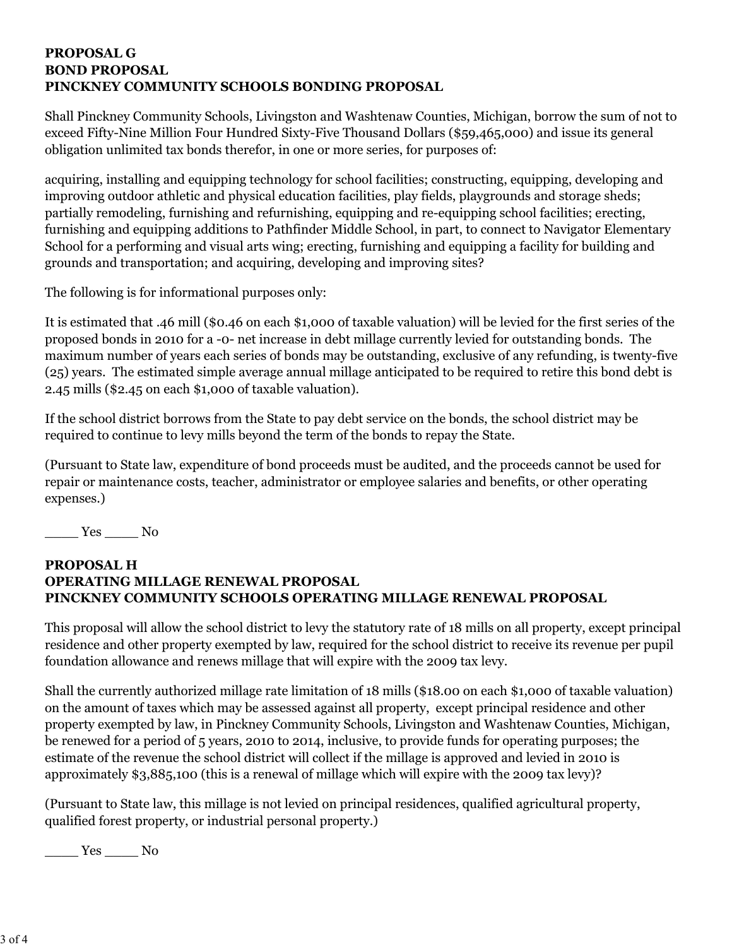#### **PROPOSAL G BOND PROPOSAL PINCKNEY COMMUNITY SCHOOLS BONDING PROPOSAL**

Shall Pinckney Community Schools, Livingston and Washtenaw Counties, Michigan, borrow the sum of not to exceed Fifty-Nine Million Four Hundred Sixty-Five Thousand Dollars (\$59,465,000) and issue its general obligation unlimited tax bonds therefor, in one or more series, for purposes of:

acquiring, installing and equipping technology for school facilities; constructing, equipping, developing and improving outdoor athletic and physical education facilities, play fields, playgrounds and storage sheds; partially remodeling, furnishing and refurnishing, equipping and re-equipping school facilities; erecting, furnishing and equipping additions to Pathfinder Middle School, in part, to connect to Navigator Elementary School for a performing and visual arts wing; erecting, furnishing and equipping a facility for building and grounds and transportation; and acquiring, developing and improving sites?

The following is for informational purposes only:

It is estimated that .46 mill (\$0.46 on each \$1,000 of taxable valuation) will be levied for the first series of the proposed bonds in 2010 for a -0- net increase in debt millage currently levied for outstanding bonds. The maximum number of years each series of bonds may be outstanding, exclusive of any refunding, is twenty-five (25) years. The estimated simple average annual millage anticipated to be required to retire this bond debt is 2.45 mills (\$2.45 on each \$1,000 of taxable valuation).

If the school district borrows from the State to pay debt service on the bonds, the school district may be required to continue to levy mills beyond the term of the bonds to repay the State.

(Pursuant to State law, expenditure of bond proceeds must be audited, and the proceeds cannot be used for repair or maintenance costs, teacher, administrator or employee salaries and benefits, or other operating expenses.)

 $T$ es  $\_\_$  No

### **PROPOSAL H OPERATING MILLAGE RENEWAL PROPOSAL PINCKNEY COMMUNITY SCHOOLS OPERATING MILLAGE RENEWAL PROPOSAL**

This proposal will allow the school district to levy the statutory rate of 18 mills on all property, except principal residence and other property exempted by law, required for the school district to receive its revenue per pupil foundation allowance and renews millage that will expire with the 2009 tax levy.

Shall the currently authorized millage rate limitation of 18 mills (\$18.00 on each \$1,000 of taxable valuation) on the amount of taxes which may be assessed against all property, except principal residence and other property exempted by law, in Pinckney Community Schools, Livingston and Washtenaw Counties, Michigan, be renewed for a period of 5 years, 2010 to 2014, inclusive, to provide funds for operating purposes; the estimate of the revenue the school district will collect if the millage is approved and levied in 2010 is approximately \$3,885,100 (this is a renewal of millage which will expire with the 2009 tax levy)?

(Pursuant to State law, this millage is not levied on principal residences, qualified agricultural property, qualified forest property, or industrial personal property.)

\_\_\_\_ Yes \_\_\_\_ No